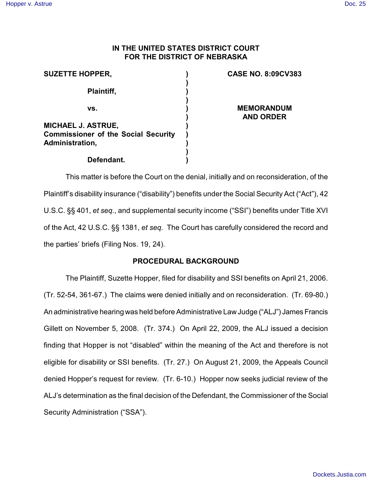# **IN THE UNITED STATES DISTRICT COURT FOR THE DISTRICT OF NEBRASKA**

| <b>SUZETTE HOPPER,</b>                                                              |  |
|-------------------------------------------------------------------------------------|--|
| <b>Plaintiff,</b>                                                                   |  |
| VS.                                                                                 |  |
| MICHAEL J. ASTRUE,<br><b>Commissioner of the Social Security</b><br>Administration, |  |
| Defendant.                                                                          |  |

# **CASE NO. 8:09CV383**

**MEMORANDUM AND ORDER**

This matter is before the Court on the denial, initially and on reconsideration, of the Plaintiff's disability insurance ("disability") benefits under the Social Security Act ("Act"), 42 U.S.C. §§ 401, *et seq.*, and supplemental security income ("SSI") benefits under Title XVI of the Act, 42 U.S.C. §§ 1381, *et seq.* The Court has carefully considered the record and the parties' briefs (Filing Nos. 19, 24).

## **PROCEDURAL BACKGROUND**

The Plaintiff, Suzette Hopper, filed for disability and SSI benefits on April 21, 2006. (Tr. 52-54, 361-67.) The claims were denied initially and on reconsideration. (Tr. 69-80.) An administrative hearing was held before Administrative Law Judge ("ALJ") James Francis Gillett on November 5, 2008. (Tr. 374.) On April 22, 2009, the ALJ issued a decision finding that Hopper is not "disabled" within the meaning of the Act and therefore is not eligible for disability or SSI benefits. (Tr. 27.) On August 21, 2009, the Appeals Council denied Hopper's request for review. (Tr. 6-10.) Hopper now seeks judicial review of the ALJ's determination as the final decision of the Defendant, the Commissioner of the Social Security Administration ("SSA").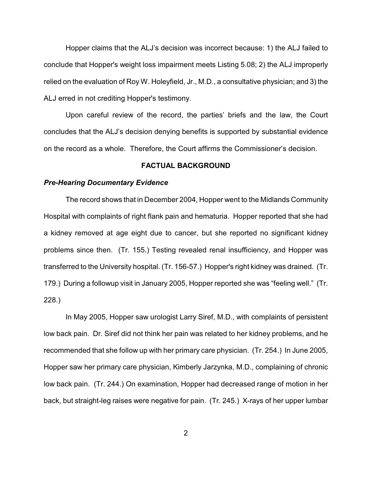Hopper claims that the ALJ's decision was incorrect because: 1) the ALJ failed to conclude that Hopper's weight loss impairment meets Listing 5.08; 2) the ALJ improperly relied on the evaluation of Roy W. Holeyfield, Jr., M.D., a consultative physician; and 3) the ALJ erred in not crediting Hopper's testimony.

Upon careful review of the record, the parties' briefs and the law, the Court concludes that the ALJ's decision denying benefits is supported by substantial evidence on the record as a whole. Therefore, the Court affirms the Commissioner's decision.

### **FACTUAL BACKGROUND**

#### *Pre-Hearing Documentary Evidence*

The record shows that in December 2004, Hopper went to the Midlands Community Hospital with complaints of right flank pain and hematuria. Hopper reported that she had a kidney removed at age eight due to cancer, but she reported no significant kidney problems since then. (Tr. 155.) Testing revealed renal insufficiency, and Hopper was transferred to the University hospital. (Tr. 156-57.) Hopper's right kidney was drained. (Tr. 179.) During a followup visit in January 2005, Hopper reported she was "feeling well." (Tr. 228.)

In May 2005, Hopper saw urologist Larry Siref, M.D., with complaints of persistent low back pain. Dr. Siref did not think her pain was related to her kidney problems, and he recommended that she follow up with her primary care physician. (Tr. 254.) In June 2005, Hopper saw her primary care physician, Kimberly Jarzynka, M.D., complaining of chronic low back pain. (Tr. 244.) On examination, Hopper had decreased range of motion in her back, but straight-leg raises were negative for pain. (Tr. 245.) X-rays of her upper lumbar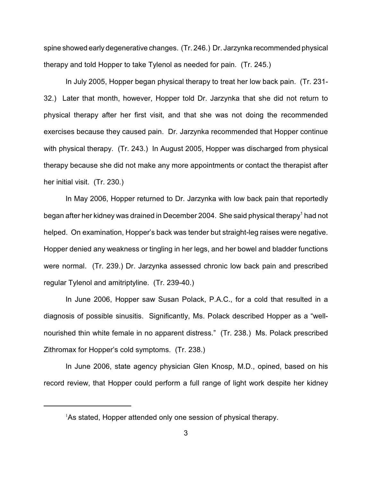spine showed early degenerative changes. (Tr. 246.) Dr. Jarzynka recommended physical therapy and told Hopper to take Tylenol as needed for pain. (Tr. 245.)

In July 2005, Hopper began physical therapy to treat her low back pain. (Tr. 231- 32.) Later that month, however, Hopper told Dr. Jarzynka that she did not return to physical therapy after her first visit, and that she was not doing the recommended exercises because they caused pain. Dr. Jarzynka recommended that Hopper continue with physical therapy. (Tr. 243.) In August 2005, Hopper was discharged from physical therapy because she did not make any more appointments or contact the therapist after her initial visit. (Tr. 230.)

In May 2006, Hopper returned to Dr. Jarzynka with low back pain that reportedly began after her kidney was drained in December 2004. She said physical therapy<sup>1</sup> had not helped. On examination, Hopper's back was tender but straight-leg raises were negative. Hopper denied any weakness or tingling in her legs, and her bowel and bladder functions were normal. (Tr. 239.) Dr. Jarzynka assessed chronic low back pain and prescribed regular Tylenol and amitriptyline. (Tr. 239-40.)

In June 2006, Hopper saw Susan Polack, P.A.C., for a cold that resulted in a diagnosis of possible sinusitis. Significantly, Ms. Polack described Hopper as a "wellnourished thin white female in no apparent distress." (Tr. 238.) Ms. Polack prescribed Zithromax for Hopper's cold symptoms. (Tr. 238.)

In June 2006, state agency physician Glen Knosp, M.D., opined, based on his record review, that Hopper could perform a full range of light work despite her kidney

 $A$ s stated, Hopper attended only one session of physical therapy.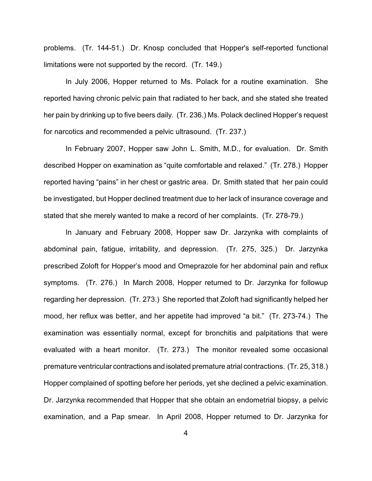problems. (Tr. 144-51.) Dr. Knosp concluded that Hopper's self-reported functional limitations were not supported by the record. (Tr. 149.)

In July 2006, Hopper returned to Ms. Polack for a routine examination. She reported having chronic pelvic pain that radiated to her back, and she stated she treated her pain by drinking up to five beers daily. (Tr. 236.) Ms. Polack declined Hopper's request for narcotics and recommended a pelvic ultrasound. (Tr. 237.)

In February 2007, Hopper saw John L. Smith, M.D., for evaluation. Dr. Smith described Hopper on examination as "quite comfortable and relaxed." (Tr. 278.) Hopper reported having "pains" in her chest or gastric area. Dr. Smith stated that her pain could be investigated, but Hopper declined treatment due to her lack of insurance coverage and stated that she merely wanted to make a record of her complaints. (Tr. 278-79.)

In January and February 2008, Hopper saw Dr. Jarzynka with complaints of abdominal pain, fatigue, irritability, and depression. (Tr. 275, 325.) Dr. Jarzynka prescribed Zoloft for Hopper's mood and Omeprazole for her abdominal pain and reflux symptoms. (Tr. 276.) In March 2008, Hopper returned to Dr. Jarzynka for followup regarding her depression. (Tr. 273.) She reported that Zoloft had significantly helped her mood, her reflux was better, and her appetite had improved "a bit." (Tr. 273-74.) The examination was essentially normal, except for bronchitis and palpitations that were evaluated with a heart monitor. (Tr. 273.) The monitor revealed some occasional premature ventricular contractions and isolated premature atrial contractions. (Tr. 25, 318.) Hopper complained of spotting before her periods, yet she declined a pelvic examination. Dr. Jarzynka recommended that Hopper that she obtain an endometrial biopsy, a pelvic examination, and a Pap smear. In April 2008, Hopper returned to Dr. Jarzynka for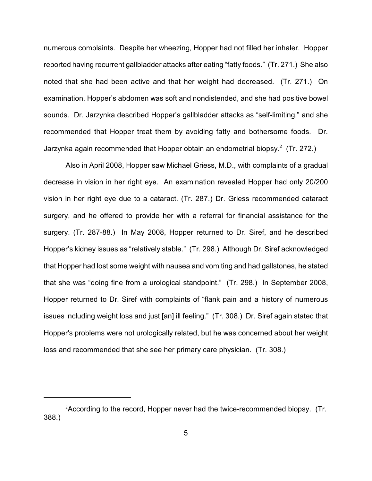numerous complaints. Despite her wheezing, Hopper had not filled her inhaler. Hopper reported having recurrent gallbladder attacks after eating "fatty foods." (Tr. 271.) She also noted that she had been active and that her weight had decreased. (Tr. 271.) On examination, Hopper's abdomen was soft and nondistended, and she had positive bowel sounds. Dr. Jarzynka described Hopper's gallbladder attacks as "self-limiting," and she recommended that Hopper treat them by avoiding fatty and bothersome foods. Dr. Jarzynka again recommended that Hopper obtain an endometrial biopsy. $2$  (Tr. 272.)

Also in April 2008, Hopper saw Michael Griess, M.D., with complaints of a gradual decrease in vision in her right eye. An examination revealed Hopper had only 20/200 vision in her right eye due to a cataract. (Tr. 287.) Dr. Griess recommended cataract surgery, and he offered to provide her with a referral for financial assistance for the surgery. (Tr. 287-88.) In May 2008, Hopper returned to Dr. Siref, and he described Hopper's kidney issues as "relatively stable." (Tr. 298.) Although Dr. Siref acknowledged that Hopper had lost some weight with nausea and vomiting and had gallstones, he stated that she was "doing fine from a urological standpoint." (Tr. 298.) In September 2008, Hopper returned to Dr. Siref with complaints of "flank pain and a history of numerous issues including weight loss and just [an] ill feeling." (Tr. 308.) Dr. Siref again stated that Hopper's problems were not urologically related, but he was concerned about her weight loss and recommended that she see her primary care physician. (Tr. 308.)

 $2$ According to the record, Hopper never had the twice-recommended biopsy. (Tr. 388.)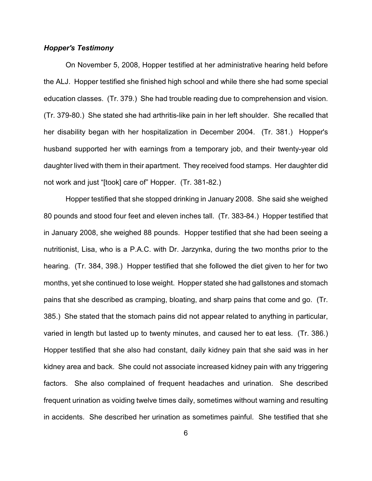## *Hopper's Testimony*

On November 5, 2008, Hopper testified at her administrative hearing held before the ALJ. Hopper testified she finished high school and while there she had some special education classes. (Tr. 379.) She had trouble reading due to comprehension and vision. (Tr. 379-80.) She stated she had arthritis-like pain in her left shoulder. She recalled that her disability began with her hospitalization in December 2004. (Tr. 381.) Hopper's husband supported her with earnings from a temporary job, and their twenty-year old daughter lived with them in their apartment. They received food stamps. Her daughter did not work and just "[took] care of" Hopper. (Tr. 381-82.)

Hopper testified that she stopped drinking in January 2008. She said she weighed 80 pounds and stood four feet and eleven inches tall. (Tr. 383-84.) Hopper testified that in January 2008, she weighed 88 pounds. Hopper testified that she had been seeing a nutritionist, Lisa, who is a P.A.C. with Dr. Jarzynka, during the two months prior to the hearing. (Tr. 384, 398.) Hopper testified that she followed the diet given to her for two months, yet she continued to lose weight. Hopper stated she had gallstones and stomach pains that she described as cramping, bloating, and sharp pains that come and go. (Tr. 385.) She stated that the stomach pains did not appear related to anything in particular, varied in length but lasted up to twenty minutes, and caused her to eat less. (Tr. 386.) Hopper testified that she also had constant, daily kidney pain that she said was in her kidney area and back. She could not associate increased kidney pain with any triggering factors. She also complained of frequent headaches and urination. She described frequent urination as voiding twelve times daily, sometimes without warning and resulting in accidents. She described her urination as sometimes painful. She testified that she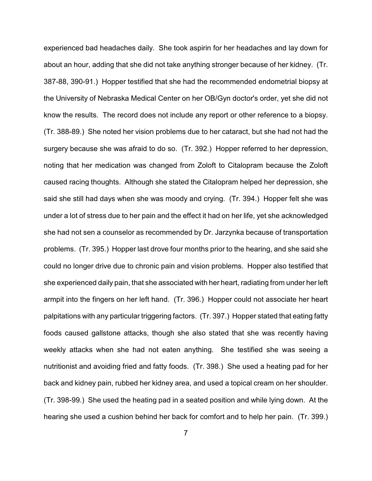experienced bad headaches daily. She took aspirin for her headaches and lay down for about an hour, adding that she did not take anything stronger because of her kidney. (Tr. 387-88, 390-91.) Hopper testified that she had the recommended endometrial biopsy at the University of Nebraska Medical Center on her OB/Gyn doctor's order, yet she did not know the results. The record does not include any report or other reference to a biopsy. (Tr. 388-89.) She noted her vision problems due to her cataract, but she had not had the surgery because she was afraid to do so. (Tr. 392.) Hopper referred to her depression, noting that her medication was changed from Zoloft to Citalopram because the Zoloft caused racing thoughts. Although she stated the Citalopram helped her depression, she said she still had days when she was moody and crying. (Tr. 394.) Hopper felt she was under a lot of stress due to her pain and the effect it had on her life, yet she acknowledged she had not sen a counselor as recommended by Dr. Jarzynka because of transportation problems. (Tr. 395.) Hopper last drove four months prior to the hearing, and she said she could no longer drive due to chronic pain and vision problems. Hopper also testified that she experienced daily pain, that she associated with her heart, radiating from under her left armpit into the fingers on her left hand. (Tr. 396.) Hopper could not associate her heart palpitations with any particular triggering factors. (Tr. 397.) Hopper stated that eating fatty foods caused gallstone attacks, though she also stated that she was recently having weekly attacks when she had not eaten anything. She testified she was seeing a nutritionist and avoiding fried and fatty foods. (Tr. 398.) She used a heating pad for her back and kidney pain, rubbed her kidney area, and used a topical cream on her shoulder. (Tr. 398-99.) She used the heating pad in a seated position and while lying down. At the hearing she used a cushion behind her back for comfort and to help her pain. (Tr. 399.)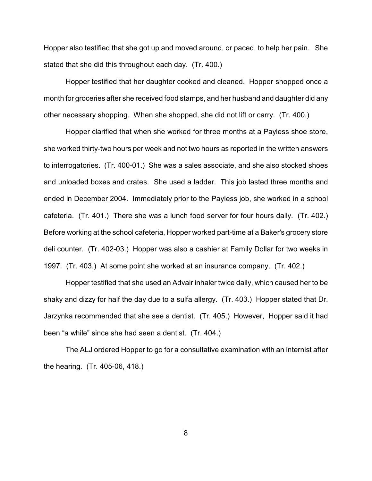Hopper also testified that she got up and moved around, or paced, to help her pain. She stated that she did this throughout each day. (Tr. 400.)

Hopper testified that her daughter cooked and cleaned. Hopper shopped once a month for groceries after she received food stamps, and her husband and daughter did any other necessary shopping. When she shopped, she did not lift or carry. (Tr. 400.)

Hopper clarified that when she worked for three months at a Payless shoe store, she worked thirty-two hours per week and not two hours as reported in the written answers to interrogatories. (Tr. 400-01.) She was a sales associate, and she also stocked shoes and unloaded boxes and crates. She used a ladder. This job lasted three months and ended in December 2004. Immediately prior to the Payless job, she worked in a school cafeteria. (Tr. 401.) There she was a lunch food server for four hours daily. (Tr. 402.) Before working at the school cafeteria, Hopper worked part-time at a Baker's grocery store deli counter. (Tr. 402-03.) Hopper was also a cashier at Family Dollar for two weeks in 1997. (Tr. 403.) At some point she worked at an insurance company. (Tr. 402.)

Hopper testified that she used an Advair inhaler twice daily, which caused her to be shaky and dizzy for half the day due to a sulfa allergy. (Tr. 403.) Hopper stated that Dr. Jarzynka recommended that she see a dentist. (Tr. 405.) However, Hopper said it had been "a while" since she had seen a dentist. (Tr. 404.)

The ALJ ordered Hopper to go for a consultative examination with an internist after the hearing. (Tr. 405-06, 418.)

8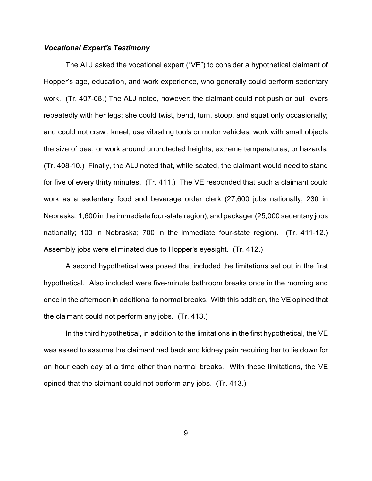## *Vocational Expert's Testimony*

The ALJ asked the vocational expert ("VE") to consider a hypothetical claimant of Hopper's age, education, and work experience, who generally could perform sedentary work. (Tr. 407-08.) The ALJ noted, however: the claimant could not push or pull levers repeatedly with her legs; she could twist, bend, turn, stoop, and squat only occasionally; and could not crawl, kneel, use vibrating tools or motor vehicles, work with small objects the size of pea, or work around unprotected heights, extreme temperatures, or hazards. (Tr. 408-10.) Finally, the ALJ noted that, while seated, the claimant would need to stand for five of every thirty minutes. (Tr. 411.) The VE responded that such a claimant could work as a sedentary food and beverage order clerk (27,600 jobs nationally; 230 in Nebraska; 1,600 in the immediate four-state region), and packager (25,000 sedentary jobs nationally; 100 in Nebraska; 700 in the immediate four-state region). (Tr. 411-12.) Assembly jobs were eliminated due to Hopper's eyesight. (Tr. 412.)

A second hypothetical was posed that included the limitations set out in the first hypothetical. Also included were five-minute bathroom breaks once in the morning and once in the afternoon in additional to normal breaks. With this addition, the VE opined that the claimant could not perform any jobs. (Tr. 413.)

In the third hypothetical, in addition to the limitations in the first hypothetical, the VE was asked to assume the claimant had back and kidney pain requiring her to lie down for an hour each day at a time other than normal breaks. With these limitations, the VE opined that the claimant could not perform any jobs. (Tr. 413.)

9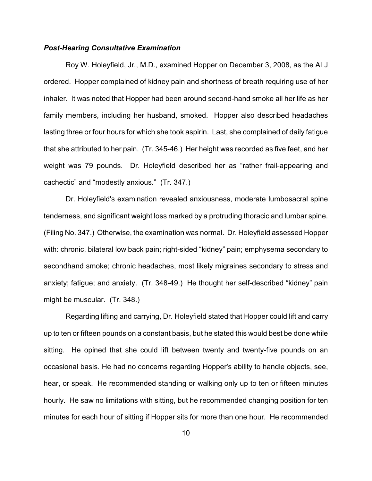### *Post-Hearing Consultative Examination*

Roy W. Holeyfield, Jr., M.D., examined Hopper on December 3, 2008, as the ALJ ordered. Hopper complained of kidney pain and shortness of breath requiring use of her inhaler. It was noted that Hopper had been around second-hand smoke all her life as her family members, including her husband, smoked. Hopper also described headaches lasting three or four hours for which she took aspirin. Last, she complained of daily fatigue that she attributed to her pain. (Tr. 345-46.) Her height was recorded as five feet, and her weight was 79 pounds. Dr. Holeyfield described her as "rather frail-appearing and cachectic" and "modestly anxious." (Tr. 347.)

Dr. Holeyfield's examination revealed anxiousness, moderate lumbosacral spine tenderness, and significant weight loss marked by a protruding thoracic and lumbar spine. (Filing No. 347.) Otherwise, the examination was normal. Dr. Holeyfield assessed Hopper with: chronic, bilateral low back pain; right-sided "kidney" pain; emphysema secondary to secondhand smoke; chronic headaches, most likely migraines secondary to stress and anxiety; fatigue; and anxiety. (Tr. 348-49.) He thought her self-described "kidney" pain might be muscular. (Tr. 348.)

Regarding lifting and carrying, Dr. Holeyfield stated that Hopper could lift and carry up to ten or fifteen pounds on a constant basis, but he stated this would best be done while sitting. He opined that she could lift between twenty and twenty-five pounds on an occasional basis. He had no concerns regarding Hopper's ability to handle objects, see, hear, or speak. He recommended standing or walking only up to ten or fifteen minutes hourly. He saw no limitations with sitting, but he recommended changing position for ten minutes for each hour of sitting if Hopper sits for more than one hour. He recommended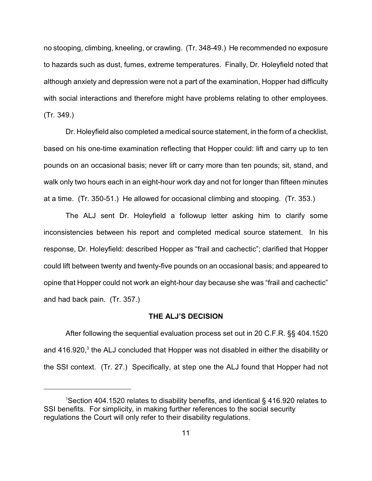no stooping, climbing, kneeling, or crawling. (Tr. 348-49.) He recommended no exposure to hazards such as dust, fumes, extreme temperatures. Finally, Dr. Holeyfield noted that although anxiety and depression were not a part of the examination, Hopper had difficulty with social interactions and therefore might have problems relating to other employees. (Tr. 349.)

Dr. Holeyfield also completed a medical source statement, in the form of a checklist, based on his one-time examination reflecting that Hopper could: lift and carry up to ten pounds on an occasional basis; never lift or carry more than ten pounds; sit, stand, and walk only two hours each in an eight-hour work day and not for longer than fifteen minutes at a time. (Tr. 350-51.) He allowed for occasional climbing and stooping. (Tr. 353.)

The ALJ sent Dr. Holeyfield a followup letter asking him to clarify some inconsistencies between his report and completed medical source statement. In his response, Dr. Holeyfield: described Hopper as "frail and cachectic"; clarified that Hopper could lift between twenty and twenty-five pounds on an occasional basis; and appeared to opine that Hopper could not work an eight-hour day because she was "frail and cachectic" and had back pain. (Tr. 357.)

#### **THE ALJ'S DECISION**

After following the sequential evaluation process set out in 20 C.F.R. §§ 404.1520 and 416.920, $3$  the ALJ concluded that Hopper was not disabled in either the disability or the SSI context. (Tr. 27.) Specifically, at step one the ALJ found that Hopper had not

<sup>&</sup>lt;sup>3</sup> Section 404.1520 relates to disability benefits, and identical § 416.920 relates to SSI benefits. For simplicity, in making further references to the social security regulations the Court will only refer to their disability regulations.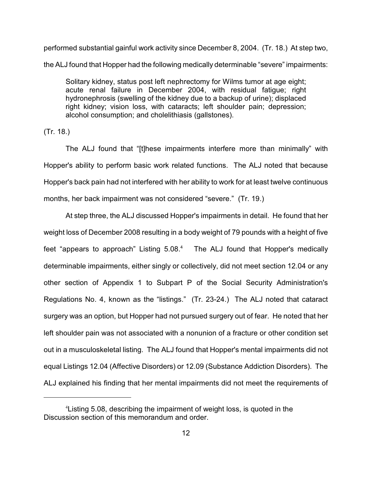performed substantial gainful work activity since December 8, 2004. (Tr. 18.) At step two, the ALJ found that Hopper had the following medically determinable "severe" impairments:

Solitary kidney, status post left nephrectomy for Wilms tumor at age eight; acute renal failure in December 2004, with residual fatigue; right hydronephrosis (swelling of the kidney due to a backup of urine); displaced right kidney; vision loss, with cataracts; left shoulder pain; depression; alcohol consumption; and cholelithiasis (gallstones).

(Tr. 18.)

The ALJ found that "[t]hese impairments interfere more than minimally" with Hopper's ability to perform basic work related functions. The ALJ noted that because Hopper's back pain had not interfered with her ability to work for at least twelve continuous months, her back impairment was not considered "severe." (Tr. 19.)

At step three, the ALJ discussed Hopper's impairments in detail. He found that her weight loss of December 2008 resulting in a body weight of 79 pounds with a height of five feet "appears to approach" Listing  $5.08<sup>4</sup>$  The ALJ found that Hopper's medically determinable impairments, either singly or collectively, did not meet section 12.04 or any other section of Appendix 1 to Subpart P of the Social Security Administration's Regulations No. 4, known as the "listings." (Tr. 23-24.) The ALJ noted that cataract surgery was an option, but Hopper had not pursued surgery out of fear. He noted that her left shoulder pain was not associated with a nonunion of a fracture or other condition set out in a musculoskeletal listing. The ALJ found that Hopper's mental impairments did not equal Listings 12.04 (Affective Disorders) or 12.09 (Substance Addiction Disorders). The ALJ explained his finding that her mental impairments did not meet the requirements of

<sup>&</sup>lt;sup>4</sup> Listing 5.08, describing the impairment of weight loss, is quoted in the Discussion section of this memorandum and order.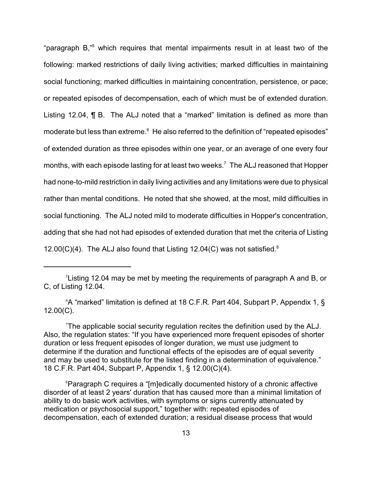"paragraph  $B$ ,"<sup>5</sup> which requires that mental impairments result in at least two of the following: marked restrictions of daily living activities; marked difficulties in maintaining social functioning; marked difficulties in maintaining concentration, persistence, or pace; or repeated episodes of decompensation, each of which must be of extended duration. Listing 12.04, **[**] B. The ALJ noted that a "marked" limitation is defined as more than moderate but less than extreme.<sup>6</sup> He also referred to the definition of "repeated episodes" of extended duration as three episodes within one year, or an average of one every four months, with each episode lasting for at least two weeks.<sup>7</sup> The ALJ reasoned that Hopper had none-to-mild restriction in daily living activities and any limitations were due to physical rather than mental conditions. He noted that she showed, at the most, mild difficulties in social functioning. The ALJ noted mild to moderate difficulties in Hopper's concentration, adding that she had not had episodes of extended duration that met the criteria of Listing 12.00(C)(4). The ALJ also found that Listing 12.04(C) was not satisfied. $8$ 

 $6$ A "marked" limitation is defined at 18 C.F.R. Part 404, Subpart P, Appendix 1, § 12.00(C).

The applicable social security regulation recites the definition used by the ALJ. Also, the regulation states: "If you have experienced more frequent episodes of shorter duration or less frequent episodes of longer duration, we must use judgment to determine if the duration and functional effects of the episodes are of equal severity and may be used to substitute for the listed finding in a determination of equivalence." 18 C.F.R. Part 404, Subpart P, Appendix 1, § 12.00(C)(4).

<sup>8</sup> Paragraph C requires a "[m]edically documented history of a chronic affective disorder of at least 2 years' duration that has caused more than a minimal limitation of ability to do basic work activities, with symptoms or signs currently attenuated by medication or psychosocial support," together with: repeated episodes of decompensation, each of extended duration; a residual disease process that would

<sup>&</sup>lt;sup>5</sup> Listing 12.04 may be met by meeting the requirements of paragraph A and B, or C, of Listing 12.04.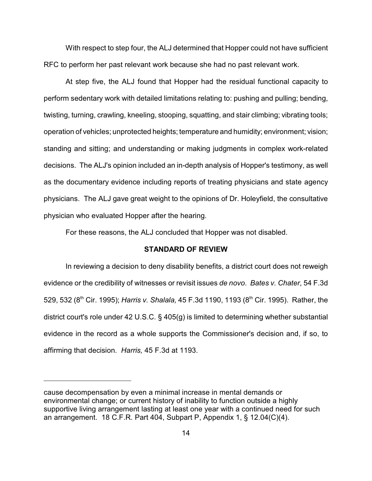With respect to step four, the ALJ determined that Hopper could not have sufficient RFC to perform her past relevant work because she had no past relevant work.

At step five, the ALJ found that Hopper had the residual functional capacity to perform sedentary work with detailed limitations relating to: pushing and pulling; bending, twisting, turning, crawling, kneeling, stooping, squatting, and stair climbing; vibrating tools; operation of vehicles; unprotected heights; temperature and humidity; environment; vision; standing and sitting; and understanding or making judgments in complex work-related decisions. The ALJ's opinion included an in-depth analysis of Hopper's testimony, as well as the documentary evidence including reports of treating physicians and state agency physicians. The ALJ gave great weight to the opinions of Dr. Holeyfield, the consultative physician who evaluated Hopper after the hearing.

For these reasons, the ALJ concluded that Hopper was not disabled.

#### **STANDARD OF REVIEW**

In reviewing a decision to deny disability benefits, a district court does not reweigh evidence or the credibility of witnesses or revisit issues *de novo*. *Bates v. Chater*, 54 F.3d 529, 532 (8<sup>th</sup> Cir. 1995); *Harris v. Shalala*, 45 F.3d 1190, 1193 (8<sup>th</sup> Cir. 1995). Rather, the district court's role under 42 U.S.C. § 405(g) is limited to determining whether substantial evidence in the record as a whole supports the Commissioner's decision and, if so, to affirming that decision. *Harris,* 45 F.3d at 1193.

cause decompensation by even a minimal increase in mental demands or environmental change; or current history of inability to function outside a highly supportive living arrangement lasting at least one year with a continued need for such an arrangement. 18 C.F.R. Part 404, Subpart P, Appendix 1, § 12.04(C)(4).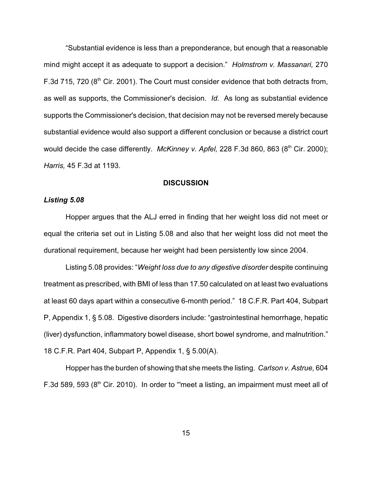"Substantial evidence is less than a preponderance, but enough that a reasonable mind might accept it as adequate to support a decision." *Holmstrom v. Massanari,* 270 F.3d 715, 720 ( $8<sup>th</sup>$  Cir. 2001). The Court must consider evidence that both detracts from, as well as supports, the Commissioner's decision. *Id.* As long as substantial evidence supports the Commissioner's decision, that decision may not be reversed merely because substantial evidence would also support a different conclusion or because a district court would decide the case differently. *McKinney v. Apfel*, 228 F.3d 860, 863 (8<sup>th</sup> Cir. 2000); *Harris,* 45 F.3d at 1193.

#### **DISCUSSION**

## *Listing 5.08*

Hopper argues that the ALJ erred in finding that her weight loss did not meet or equal the criteria set out in Listing 5.08 and also that her weight loss did not meet the durational requirement, because her weight had been persistently low since 2004.

Listing 5.08 provides: "*Weight loss due to any digestive disorder* despite continuing treatment as prescribed, with BMI of less than 17.50 calculated on at least two evaluations at least 60 days apart within a consecutive 6-month period." 18 C.F.R. Part 404, Subpart P, Appendix 1, § 5.08. Digestive disorders include: "gastrointestinal hemorrhage, hepatic (liver) dysfunction, inflammatory bowel disease, short bowel syndrome, and malnutrition." 18 C.F.R. Part 404, Subpart P, Appendix 1, § 5.00(A).

Hopper has the burden of showing that she meets the listing. *Carlson v. Astrue,* 604 F.3d 589, 593 ( $8<sup>th</sup>$  Cir. 2010). In order to "meet a listing, an impairment must meet all of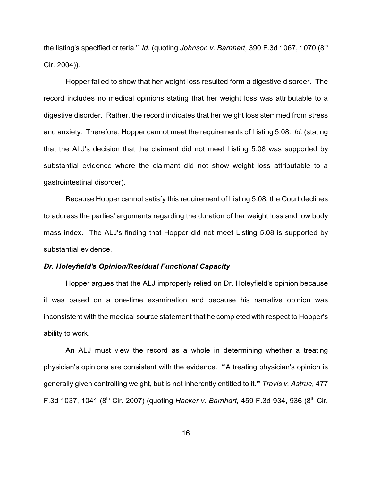the listing's specified criteria."" *Id.* (quoting *Johnson v. Barnhart*, 390 F.3d 1067, 1070 (8<sup>th</sup>) Cir. 2004)).

Hopper failed to show that her weight loss resulted form a digestive disorder. The record includes no medical opinions stating that her weight loss was attributable to a digestive disorder. Rather, the record indicates that her weight loss stemmed from stress and anxiety. Therefore, Hopper cannot meet the requirements of Listing 5.08. *Id.* (stating that the ALJ's decision that the claimant did not meet Listing 5.08 was supported by substantial evidence where the claimant did not show weight loss attributable to a gastrointestinal disorder).

Because Hopper cannot satisfy this requirement of Listing 5.08, the Court declines to address the parties' arguments regarding the duration of her weight loss and low body mass index. The ALJ's finding that Hopper did not meet Listing 5.08 is supported by substantial evidence.

#### *Dr. Holeyfield's Opinion/Residual Functional Capacity*

Hopper argues that the ALJ improperly relied on Dr. Holeyfield's opinion because it was based on a one-time examination and because his narrative opinion was inconsistent with the medical source statement that he completed with respect to Hopper's ability to work.

An ALJ must view the record as a whole in determining whether a treating physician's opinions are consistent with the evidence. "'A treating physician's opinion is generally given controlling weight, but is not inherently entitled to it.'" *Travis v. Astrue,* 477 F.3d 1037, 1041 (8<sup>th</sup> Cir. 2007) (quoting *Hacker v. Barnhart,* 459 F.3d 934, 936 (8<sup>th</sup> Cir.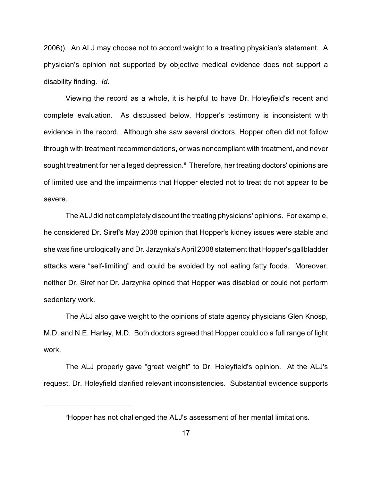2006)). An ALJ may choose not to accord weight to a treating physician's statement. A physician's opinion not supported by objective medical evidence does not support a disability finding. *Id.*

Viewing the record as a whole, it is helpful to have Dr. Holeyfield's recent and complete evaluation. As discussed below, Hopper's testimony is inconsistent with evidence in the record. Although she saw several doctors, Hopper often did not follow through with treatment recommendations, or was noncompliant with treatment, and never sought treatment for her alleged depression.<sup>9</sup> Therefore, her treating doctors' opinions are of limited use and the impairments that Hopper elected not to treat do not appear to be severe.

The ALJ did not completely discount the treating physicians' opinions. For example, he considered Dr. Siref's May 2008 opinion that Hopper's kidney issues were stable and she was fine urologically and Dr. Jarzynka's April 2008 statement that Hopper's gallbladder attacks were "self-limiting" and could be avoided by not eating fatty foods. Moreover, neither Dr. Siref nor Dr. Jarzynka opined that Hopper was disabled or could not perform sedentary work.

The ALJ also gave weight to the opinions of state agency physicians Glen Knosp, M.D. and N.E. Harley, M.D. Both doctors agreed that Hopper could do a full range of light work.

The ALJ properly gave "great weight" to Dr. Holeyfield's opinion. At the ALJ's request, Dr. Holeyfield clarified relevant inconsistencies. Substantial evidence supports

<sup>&</sup>lt;sup>9</sup> Hopper has not challenged the ALJ's assessment of her mental limitations.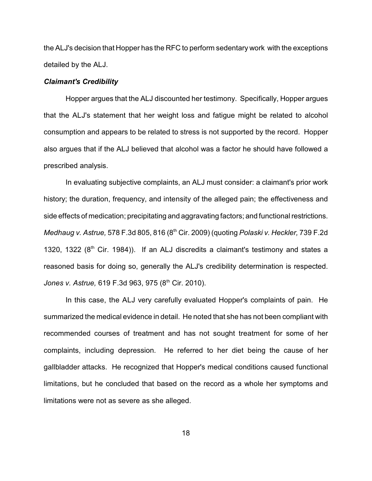the ALJ's decision that Hopper has the RFC to perform sedentary work with the exceptions detailed by the ALJ.

#### *Claimant's Credibility*

Hopper argues that the ALJ discounted her testimony. Specifically, Hopper argues that the ALJ's statement that her weight loss and fatigue might be related to alcohol consumption and appears to be related to stress is not supported by the record. Hopper also argues that if the ALJ believed that alcohol was a factor he should have followed a prescribed analysis.

In evaluating subjective complaints, an ALJ must consider: a claimant's prior work history; the duration, frequency, and intensity of the alleged pain; the effectiveness and side effects of medication; precipitating and aggravating factors; and functional restrictions. *Medhaug v. Astrue,* 578 F.3d 805, 816 (8<sup>th</sup> Cir. 2009) (quoting *Polaski v. Heckler,* 739 F.2d 1320, 1322  $(8<sup>th</sup>$  Cir. 1984)). If an ALJ discredits a claimant's testimony and states a reasoned basis for doing so, generally the ALJ's credibility determination is respected. *Jones v. Astrue,* 619 F.3d 963, 975 (8<sup>th</sup> Cir. 2010).

In this case, the ALJ very carefully evaluated Hopper's complaints of pain. He summarized the medical evidence in detail. He noted that she has not been compliant with recommended courses of treatment and has not sought treatment for some of her complaints, including depression. He referred to her diet being the cause of her gallbladder attacks. He recognized that Hopper's medical conditions caused functional limitations, but he concluded that based on the record as a whole her symptoms and limitations were not as severe as she alleged.

18